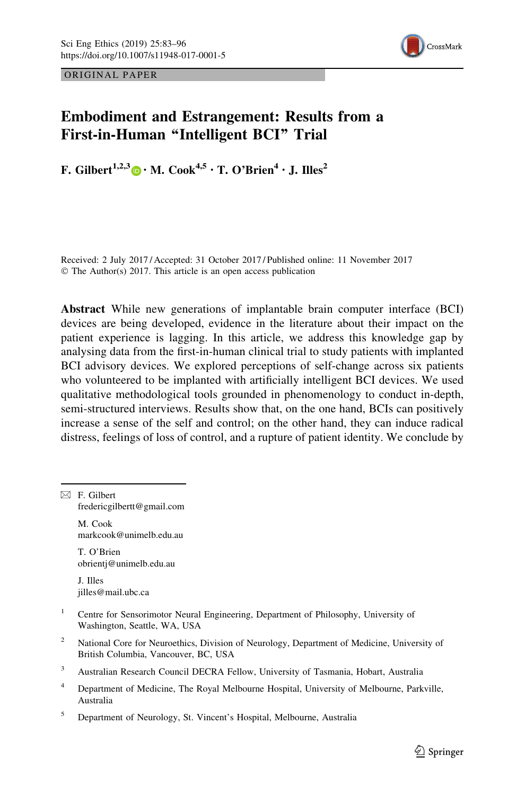ORIGINAL PAPER



# Embodiment and Estrangement: Results from a First-in-Human ''Intelligent BCI'' Trial

F. Gilbert<sup>1,2,3</sup>  $\bullet \cdot M$ . Cook<sup>4,5</sup>  $\cdot$  T. O'Brien<sup>4</sup>  $\cdot$  J. Illes<sup>2</sup>

Received: 2 July 2017 / Accepted: 31 October 2017 / Published online: 11 November 2017 © The Author(s) 2017. This article is an open access publication

Abstract While new generations of implantable brain computer interface (BCI) devices are being developed, evidence in the literature about their impact on the patient experience is lagging. In this article, we address this knowledge gap by analysing data from the first-in-human clinical trial to study patients with implanted BCI advisory devices. We explored perceptions of self-change across six patients who volunteered to be implanted with artificially intelligent BCI devices. We used qualitative methodological tools grounded in phenomenology to conduct in-depth, semi-structured interviews. Results show that, on the one hand, BCIs can positively increase a sense of the self and control; on the other hand, they can induce radical distress, feelings of loss of control, and a rupture of patient identity. We conclude by

 $\boxtimes$  F. Gilbert fredericgilbertt@gmail.com M. Cook markcook@unimelb.edu.au

> T. O'Brien obrientj@unimelb.edu.au

J. Illes jilles@mail.ubc.ca

- <sup>2</sup> National Core for Neuroethics, Division of Neurology, Department of Medicine, University of British Columbia, Vancouver, BC, USA
- <sup>3</sup> Australian Research Council DECRA Fellow, University of Tasmania, Hobart, Australia
- <sup>4</sup> Department of Medicine, The Royal Melbourne Hospital, University of Melbourne, Parkville, Australia
- <sup>5</sup> Department of Neurology, St. Vincent's Hospital, Melbourne, Australia

<sup>&</sup>lt;sup>1</sup> Centre for Sensorimotor Neural Engineering, Department of Philosophy, University of Washington, Seattle, WA, USA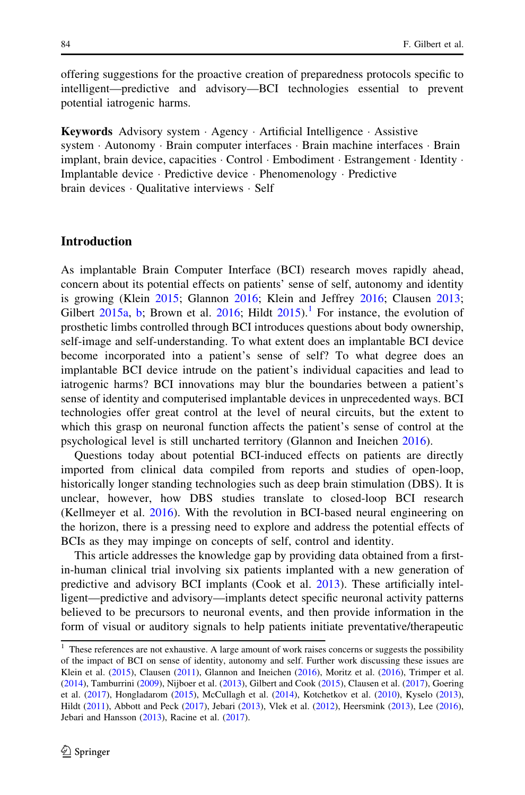offering suggestions for the proactive creation of preparedness protocols specific to intelligent—predictive and advisory—BCI technologies essential to prevent potential iatrogenic harms.

Keywords Advisory system · Agency · Artificial Intelligence · Assistive system - Autonomy - Brain computer interfaces - Brain machine interfaces - Brain implant, brain device, capacities · Control · Embodiment · Estrangement · Identity · Implantable device - Predictive device - Phenomenology - Predictive brain devices - Qualitative interviews - Self

### Introduction

As implantable Brain Computer Interface (BCI) research moves rapidly ahead, concern about its potential effects on patients' sense of self, autonomy and identity is growing (Klein [2015](#page-13-0); Glannon [2016](#page-12-0); Klein and Jeffrey [2016;](#page-13-0) Clausen [2013;](#page-12-0) Gilbert  $2015a$  $2015a$ , [b;](#page-12-0) Brown et al.  $2016$ ; Hildt  $2015$ ).<sup>1</sup> For instance, the evolution of prosthetic limbs controlled through BCI introduces questions about body ownership, self-image and self-understanding. To what extent does an implantable BCI device become incorporated into a patient's sense of self? To what degree does an implantable BCI device intrude on the patient's individual capacities and lead to iatrogenic harms? BCI innovations may blur the boundaries between a patient's sense of identity and computerised implantable devices in unprecedented ways. BCI technologies offer great control at the level of neural circuits, but the extent to which this grasp on neuronal function affects the patient's sense of control at the psychological level is still uncharted territory (Glannon and Ineichen [2016\)](#page-12-0).

Questions today about potential BCI-induced effects on patients are directly imported from clinical data compiled from reports and studies of open-loop, historically longer standing technologies such as deep brain stimulation (DBS). It is unclear, however, how DBS studies translate to closed-loop BCI research (Kellmeyer et al. [2016](#page-13-0)). With the revolution in BCI-based neural engineering on the horizon, there is a pressing need to explore and address the potential effects of BCIs as they may impinge on concepts of self, control and identity.

This article addresses the knowledge gap by providing data obtained from a firstin-human clinical trial involving six patients implanted with a new generation of predictive and advisory BCI implants (Cook et al. [2013\)](#page-12-0). These artificially intelligent—predictive and advisory—implants detect specific neuronal activity patterns believed to be precursors to neuronal events, and then provide information in the form of visual or auditory signals to help patients initiate preventative/therapeutic

 $1$  These references are not exhaustive. A large amount of work raises concerns or suggests the possibility of the impact of BCI on sense of identity, autonomy and self. Further work discussing these issues are Klein et al. ([2015\)](#page-13-0), Clausen [\(2011](#page-12-0)), Glannon and Ineichen [\(2016](#page-12-0)), Moritz et al. [\(2016](#page-13-0)), Trimper et al. ([2014\)](#page-13-0), Tamburrini [\(2009](#page-13-0)), Nijboer et al. ([2013](#page-13-0)), Gilbert and Cook [\(2015](#page-12-0)), Clausen et al. ([2017\)](#page-12-0), Goering et al. [\(2017](#page-12-0)), Hongladarom [\(2015\)](#page-12-0), McCullagh et al. [\(2014](#page-13-0)), Kotchetkov et al. [\(2010](#page-13-0)), Kyselo ([2013\)](#page-13-0), Hildt ([2011](#page-12-0)), Abbott and Peck ([2017\)](#page-11-0), Jebari [\(2013](#page-12-0)), Vlek et al. [\(2012](#page-13-0)), Heersmink ([2013\)](#page-12-0), Lee ([2016\)](#page-13-0), Jebari and Hansson ([2013](#page-13-0)), Racine et al. [\(2017\)](#page-13-0).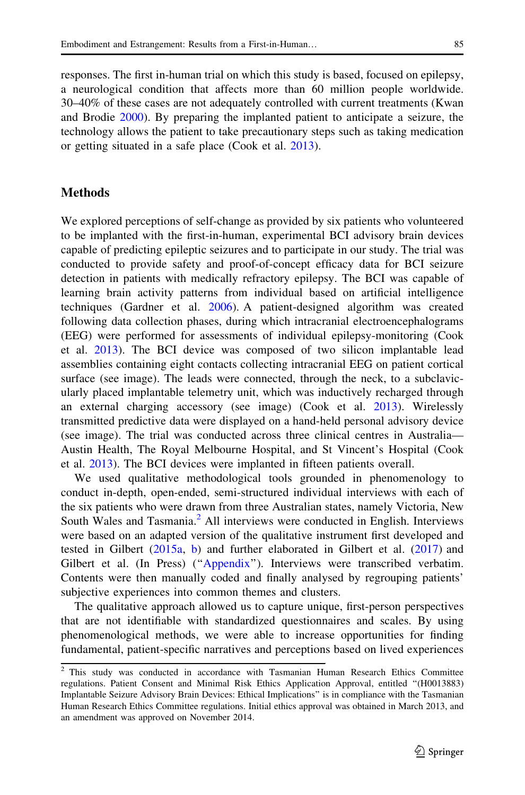responses. The first in-human trial on which this study is based, focused on epilepsy, a neurological condition that affects more than 60 million people worldwide. 30–40% of these cases are not adequately controlled with current treatments (Kwan and Brodie [2000](#page-13-0)). By preparing the implanted patient to anticipate a seizure, the technology allows the patient to take precautionary steps such as taking medication or getting situated in a safe place (Cook et al. [2013](#page-12-0)).

### Methods

We explored perceptions of self-change as provided by six patients who volunteered to be implanted with the first-in-human, experimental BCI advisory brain devices capable of predicting epileptic seizures and to participate in our study. The trial was conducted to provide safety and proof-of-concept efficacy data for BCI seizure detection in patients with medically refractory epilepsy. The BCI was capable of learning brain activity patterns from individual based on artificial intelligence techniques (Gardner et al. [2006\)](#page-12-0). A patient-designed algorithm was created following data collection phases, during which intracranial electroencephalograms (EEG) were performed for assessments of individual epilepsy-monitoring (Cook et al. [2013\)](#page-12-0). The BCI device was composed of two silicon implantable lead assemblies containing eight contacts collecting intracranial EEG on patient cortical surface (see image). The leads were connected, through the neck, to a subclavicularly placed implantable telemetry unit, which was inductively recharged through an external charging accessory (see image) (Cook et al. [2013\)](#page-12-0). Wirelessly transmitted predictive data were displayed on a hand-held personal advisory device (see image). The trial was conducted across three clinical centres in Australia— Austin Health, The Royal Melbourne Hospital, and St Vincent's Hospital (Cook et al. [2013\)](#page-12-0). The BCI devices were implanted in fifteen patients overall.

We used qualitative methodological tools grounded in phenomenology to conduct in-depth, open-ended, semi-structured individual interviews with each of the six patients who were drawn from three Australian states, namely Victoria, New South Wales and Tasmania.<sup>2</sup> All interviews were conducted in English. Interviews were based on an adapted version of the qualitative instrument first developed and tested in Gil[b](#page-12-0)ert  $(2015a, b)$  $(2015a, b)$  and further elaborated in Gilbert et al.  $(2017)$  $(2017)$  and Gilbert et al. (In Press) ("Appendix"). Interviews were transcribed verbatim. Contents were then manually coded and finally analysed by regrouping patients' subjective experiences into common themes and clusters.

The qualitative approach allowed us to capture unique, first-person perspectives that are not identifiable with standardized questionnaires and scales. By using phenomenological methods, we were able to increase opportunities for finding fundamental, patient-specific narratives and perceptions based on lived experiences

<sup>&</sup>lt;sup>2</sup> This study was conducted in accordance with Tasmanian Human Research Ethics Committee regulations. Patient Consent and Minimal Risk Ethics Application Approval, entitled ''(H0013883) Implantable Seizure Advisory Brain Devices: Ethical Implications'' is in compliance with the Tasmanian Human Research Ethics Committee regulations. Initial ethics approval was obtained in March 2013, and an amendment was approved on November 2014.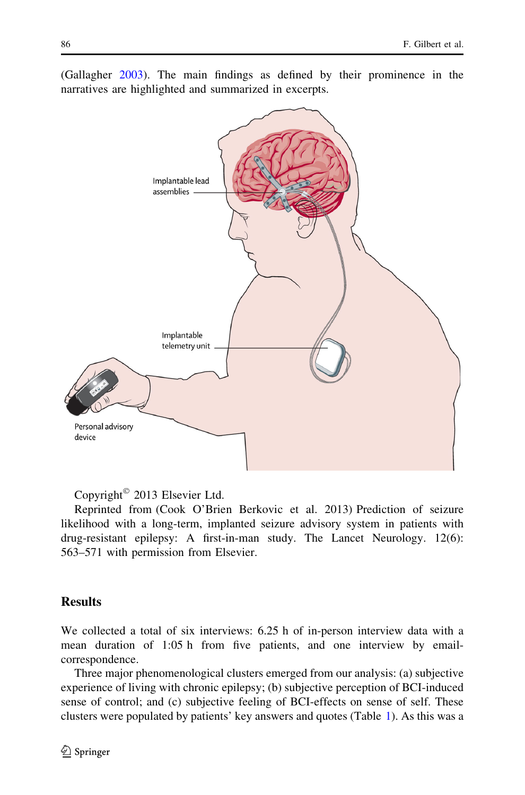

(Gallagher [2003\)](#page-12-0). The main findings as defined by their prominence in the narratives are highlighted and summarized in excerpts.

Copyright<sup>©</sup> 2013 Elsevier Ltd.

Reprinted from (Cook O'Brien Berkovic et al. 2013) Prediction of seizure likelihood with a long-term, implanted seizure advisory system in patients with drug-resistant epilepsy: A first-in-man study. The Lancet Neurology. 12(6): 563–571 with permission from Elsevier.

## **Results**

We collected a total of six interviews: 6.25 h of in-person interview data with a mean duration of 1:05 h from five patients, and one interview by emailcorrespondence.

Three major phenomenological clusters emerged from our analysis: (a) subjective experience of living with chronic epilepsy; (b) subjective perception of BCI-induced sense of control; and (c) subjective feeling of BCI-effects on sense of self. These clusters were populated by patients' key answers and quotes (Table [1\)](#page-4-0). As this was a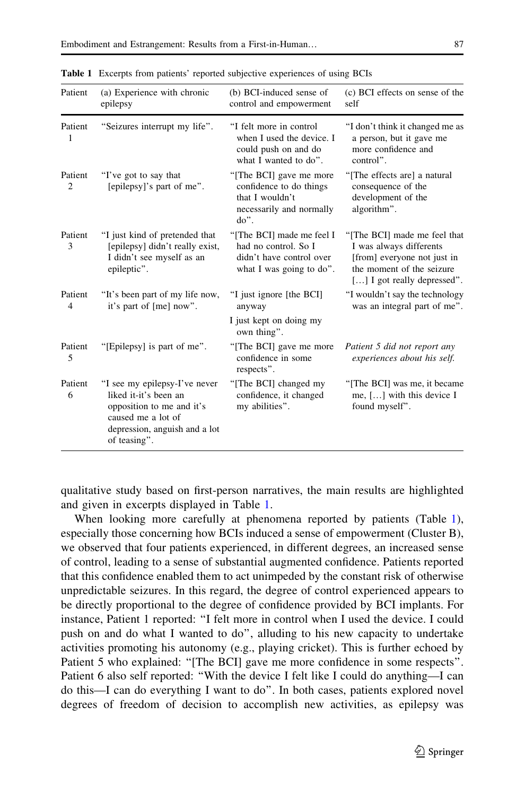| Patient                   | (a) Experience with chronic<br>epilepsy                                                                                                                    | (b) BCI-induced sense of<br>control and empowerment                                                           | (c) BCI effects on sense of the<br>self                                                                                                              |
|---------------------------|------------------------------------------------------------------------------------------------------------------------------------------------------------|---------------------------------------------------------------------------------------------------------------|------------------------------------------------------------------------------------------------------------------------------------------------------|
| Patient<br>1              | "Seizures interrupt my life".                                                                                                                              | "I felt more in control<br>when I used the device. I<br>could push on and do<br>what I wanted to do".         | "I don't think it changed me as<br>a person, but it gave me<br>more confidence and<br>control".                                                      |
| Patient<br>$\overline{c}$ | "I've got to say that<br>[epilepsy]'s part of me".                                                                                                         | "[The BCI] gave me more"<br>confidence to do things<br>that I wouldn't<br>necessarily and normally<br>$do$ ". | "[The effects are] a natural<br>consequence of the<br>development of the<br>algorithm".                                                              |
| Patient<br>3              | "I just kind of pretended that<br>[epilepsy] didn't really exist,<br>I didn't see myself as an<br>epileptic".                                              | "[The BCI] made me feel I<br>had no control. So I<br>didn't have control over<br>what I was going to do".     | "[The BCI] made me feel that<br>I was always differents<br>[from] everyone not just in<br>the moment of the seizure<br>$[]$ I got really depressed". |
| Patient<br>4              | "It's been part of my life now,<br>it's part of [me] now".                                                                                                 | "I just ignore [the BCI]<br>anyway                                                                            | "I wouldn't say the technology<br>was an integral part of me".                                                                                       |
|                           |                                                                                                                                                            | I just kept on doing my<br>own thing".                                                                        |                                                                                                                                                      |
| Patient<br>5              | "[Epilepsy] is part of me".                                                                                                                                | "[The BCI] gave me more<br>confidence in some<br>respects".                                                   | Patient 5 did not report any<br>experiences about his self.                                                                                          |
| Patient<br>6              | "I see my epilepsy-I've never<br>liked it-it's been an<br>opposition to me and it's<br>caused me a lot of<br>depression, anguish and a lot<br>of teasing". | "[The BCI] changed my<br>confidence, it changed<br>my abilities".                                             | "[The BCI] was me, it became<br>me, [] with this device I<br>found myself".                                                                          |

<span id="page-4-0"></span>Table 1 Excerpts from patients' reported subjective experiences of using BCIs

qualitative study based on first-person narratives, the main results are highlighted and given in excerpts displayed in Table 1.

When looking more carefully at phenomena reported by patients (Table 1), especially those concerning how BCIs induced a sense of empowerment (Cluster B), we observed that four patients experienced, in different degrees, an increased sense of control, leading to a sense of substantial augmented confidence. Patients reported that this confidence enabled them to act unimpeded by the constant risk of otherwise unpredictable seizures. In this regard, the degree of control experienced appears to be directly proportional to the degree of confidence provided by BCI implants. For instance, Patient 1 reported: ''I felt more in control when I used the device. I could push on and do what I wanted to do'', alluding to his new capacity to undertake activities promoting his autonomy (e.g., playing cricket). This is further echoed by Patient 5 who explained: "[The BCI] gave me more confidence in some respects". Patient 6 also self reported: ''With the device I felt like I could do anything—I can do this—I can do everything I want to do''. In both cases, patients explored novel degrees of freedom of decision to accomplish new activities, as epilepsy was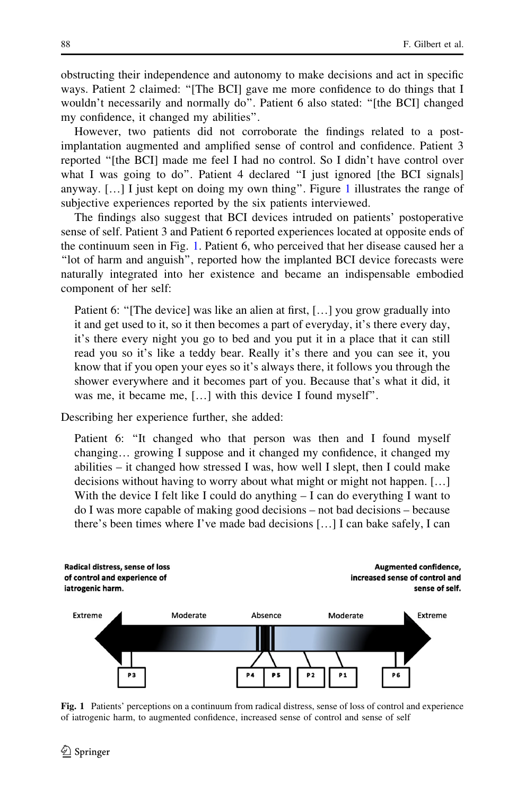obstructing their independence and autonomy to make decisions and act in specific ways. Patient 2 claimed: ''[The BCI] gave me more confidence to do things that I wouldn't necessarily and normally do''. Patient 6 also stated: ''[the BCI] changed my confidence, it changed my abilities''.

However, two patients did not corroborate the findings related to a postimplantation augmented and amplified sense of control and confidence. Patient 3 reported ''[the BCI] made me feel I had no control. So I didn't have control over what I was going to do". Patient 4 declared "I just ignored [the BCI signals] anyway. […] I just kept on doing my own thing''. Figure 1 illustrates the range of subjective experiences reported by the six patients interviewed.

The findings also suggest that BCI devices intruded on patients' postoperative sense of self. Patient 3 and Patient 6 reported experiences located at opposite ends of the continuum seen in Fig. 1. Patient 6, who perceived that her disease caused her a ''lot of harm and anguish'', reported how the implanted BCI device forecasts were naturally integrated into her existence and became an indispensable embodied component of her self:

Patient 6: "[The device] was like an alien at first, [...] you grow gradually into it and get used to it, so it then becomes a part of everyday, it's there every day, it's there every night you go to bed and you put it in a place that it can still read you so it's like a teddy bear. Really it's there and you can see it, you know that if you open your eyes so it's always there, it follows you through the shower everywhere and it becomes part of you. Because that's what it did, it was me, it became me, […] with this device I found myself''.

Describing her experience further, she added:

Patient 6: "It changed who that person was then and I found myself changing… growing I suppose and it changed my confidence, it changed my abilities – it changed how stressed I was, how well I slept, then I could make decisions without having to worry about what might or might not happen. […] With the device I felt like I could do anything - I can do everything I want to do I was more capable of making good decisions – not bad decisions – because there's been times where I've made bad decisions […] I can bake safely, I can



Fig. 1 Patients' perceptions on a continuum from radical distress, sense of loss of control and experience of iatrogenic harm, to augmented confidence, increased sense of control and sense of self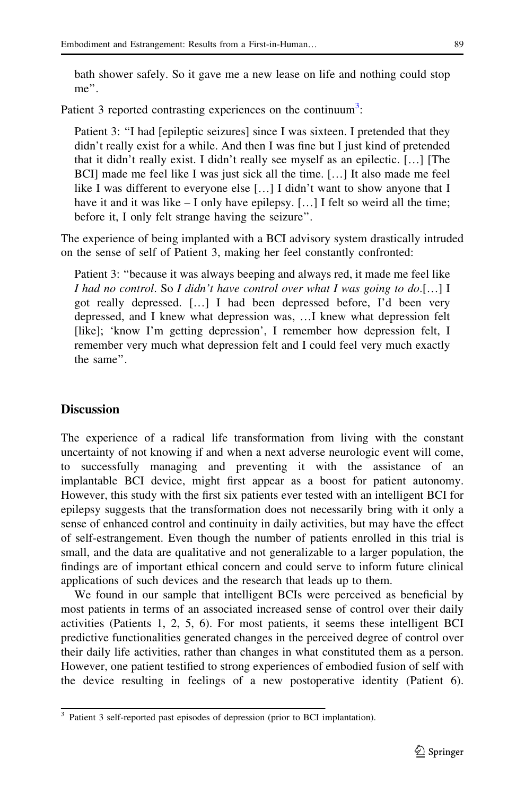bath shower safely. So it gave me a new lease on life and nothing could stop me''.

Patient 3 reported contrasting experiences on the continuum<sup>3</sup>:

Patient 3: ''I had [epileptic seizures] since I was sixteen. I pretended that they didn't really exist for a while. And then I was fine but I just kind of pretended that it didn't really exist. I didn't really see myself as an epilectic. […] [The BCI] made me feel like I was just sick all the time. […] It also made me feel like I was different to everyone else […] I didn't want to show anyone that I have it and it was like – I only have epilepsy. [...] I felt so weird all the time; before it, I only felt strange having the seizure''.

The experience of being implanted with a BCI advisory system drastically intruded on the sense of self of Patient 3, making her feel constantly confronted:

Patient 3: ''because it was always beeping and always red, it made me feel like I had no control. So I didn't have control over what I was going to do.[…] I got really depressed. […] I had been depressed before, I'd been very depressed, and I knew what depression was, …I knew what depression felt [like]; 'know I'm getting depression', I remember how depression felt, I remember very much what depression felt and I could feel very much exactly the same''.

## **Discussion**

The experience of a radical life transformation from living with the constant uncertainty of not knowing if and when a next adverse neurologic event will come, to successfully managing and preventing it with the assistance of an implantable BCI device, might first appear as a boost for patient autonomy. However, this study with the first six patients ever tested with an intelligent BCI for epilepsy suggests that the transformation does not necessarily bring with it only a sense of enhanced control and continuity in daily activities, but may have the effect of self-estrangement. Even though the number of patients enrolled in this trial is small, and the data are qualitative and not generalizable to a larger population, the findings are of important ethical concern and could serve to inform future clinical applications of such devices and the research that leads up to them.

We found in our sample that intelligent BCIs were perceived as beneficial by most patients in terms of an associated increased sense of control over their daily activities (Patients 1, 2, 5, 6). For most patients, it seems these intelligent BCI predictive functionalities generated changes in the perceived degree of control over their daily life activities, rather than changes in what constituted them as a person. However, one patient testified to strong experiences of embodied fusion of self with the device resulting in feelings of a new postoperative identity (Patient 6).

<sup>&</sup>lt;sup>3</sup> Patient 3 self-reported past episodes of depression (prior to BCI implantation).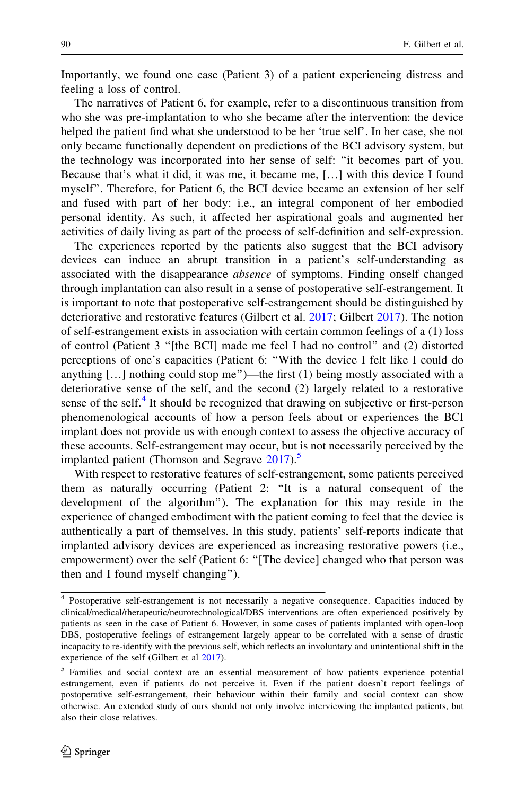Importantly, we found one case (Patient 3) of a patient experiencing distress and feeling a loss of control.

The narratives of Patient 6, for example, refer to a discontinuous transition from who she was pre-implantation to who she became after the intervention: the device helped the patient find what she understood to be her 'true self'. In her case, she not only became functionally dependent on predictions of the BCI advisory system, but the technology was incorporated into her sense of self: ''it becomes part of you. Because that's what it did, it was me, it became me, […] with this device I found myself''. Therefore, for Patient 6, the BCI device became an extension of her self and fused with part of her body: i.e., an integral component of her embodied personal identity. As such, it affected her aspirational goals and augmented her activities of daily living as part of the process of self-definition and self-expression.

The experiences reported by the patients also suggest that the BCI advisory devices can induce an abrupt transition in a patient's self-understanding as associated with the disappearance *absence* of symptoms. Finding onself changed through implantation can also result in a sense of postoperative self-estrangement. It is important to note that postoperative self-estrangement should be distinguished by deteriorative and restorative features (Gilbert et al. [2017;](#page-12-0) Gilbert [2017\)](#page-12-0). The notion of self-estrangement exists in association with certain common feelings of a (1) loss of control (Patient 3 ''[the BCI] made me feel I had no control'' and (2) distorted perceptions of one's capacities (Patient 6: ''With the device I felt like I could do anything […] nothing could stop me'')—the first (1) being mostly associated with a deteriorative sense of the self, and the second (2) largely related to a restorative sense of the self. $4$  It should be recognized that drawing on subjective or first-person phenomenological accounts of how a person feels about or experiences the BCI implant does not provide us with enough context to assess the objective accuracy of these accounts. Self-estrangement may occur, but is not necessarily perceived by the implanted patient (Thomson and Segrave  $2017$ ).<sup>5</sup>

With respect to restorative features of self-estrangement, some patients perceived them as naturally occurring (Patient 2: ''It is a natural consequent of the development of the algorithm''). The explanation for this may reside in the experience of changed embodiment with the patient coming to feel that the device is authentically a part of themselves. In this study, patients' self-reports indicate that implanted advisory devices are experienced as increasing restorative powers (i.e., empowerment) over the self (Patient 6: ''[The device] changed who that person was then and I found myself changing'').

<sup>4</sup> Postoperative self-estrangement is not necessarily a negative consequence. Capacities induced by clinical/medical/therapeutic/neurotechnological/DBS interventions are often experienced positively by patients as seen in the case of Patient 6. However, in some cases of patients implanted with open-loop DBS, postoperative feelings of estrangement largely appear to be correlated with a sense of drastic incapacity to re-identify with the previous self, which reflects an involuntary and unintentional shift in the experience of the self (Gilbert et al [2017\)](#page-12-0).

<sup>&</sup>lt;sup>5</sup> Families and social context are an essential measurement of how patients experience potential estrangement, even if patients do not perceive it. Even if the patient doesn't report feelings of postoperative self-estrangement, their behaviour within their family and social context can show otherwise. An extended study of ours should not only involve interviewing the implanted patients, but also their close relatives.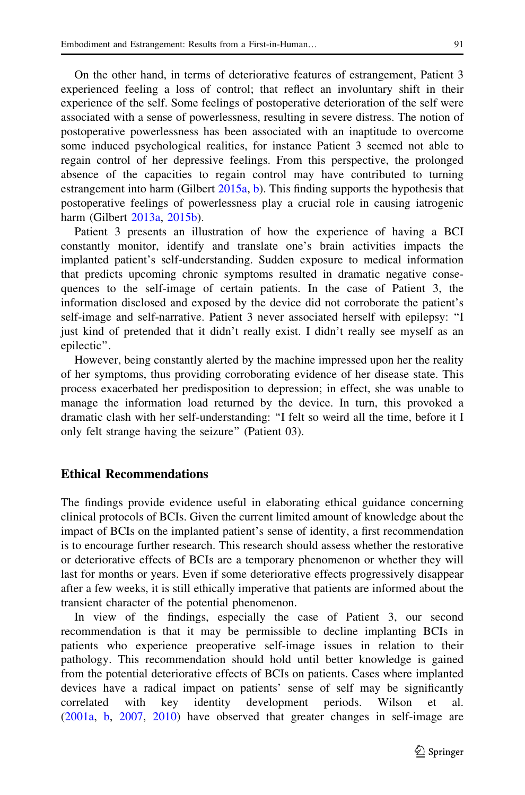On the other hand, in terms of deteriorative features of estrangement, Patient 3 experienced feeling a loss of control; that reflect an involuntary shift in their experience of the self. Some feelings of postoperative deterioration of the self were associated with a sense of powerlessness, resulting in severe distress. The notion of postoperative powerlessness has been associated with an inaptitude to overcome some induced psychological realities, for instance Patient 3 seemed not able to regain control of her depressive feelings. From this perspective, the prolonged absence of the capacities to regain control may have contributed to turning estrangement into harm (Gil[b](#page-12-0)ert  $2015a$ , b). This finding supports the hypothesis that postoperative feelings of powerlessness play a crucial role in causing iatrogenic harm (Gilbert [2013a](#page-12-0), [2015b](#page-12-0)).

Patient 3 presents an illustration of how the experience of having a BCI constantly monitor, identify and translate one's brain activities impacts the implanted patient's self-understanding. Sudden exposure to medical information that predicts upcoming chronic symptoms resulted in dramatic negative consequences to the self-image of certain patients. In the case of Patient 3, the information disclosed and exposed by the device did not corroborate the patient's self-image and self-narrative. Patient 3 never associated herself with epilepsy: ''I just kind of pretended that it didn't really exist. I didn't really see myself as an epilectic''.

However, being constantly alerted by the machine impressed upon her the reality of her symptoms, thus providing corroborating evidence of her disease state. This process exacerbated her predisposition to depression; in effect, she was unable to manage the information load returned by the device. In turn, this provoked a dramatic clash with her self-understanding: ''I felt so weird all the time, before it I only felt strange having the seizure'' (Patient 03).

#### Ethical Recommendations

The findings provide evidence useful in elaborating ethical guidance concerning clinical protocols of BCIs. Given the current limited amount of knowledge about the impact of BCIs on the implanted patient's sense of identity, a first recommendation is to encourage further research. This research should assess whether the restorative or deteriorative effects of BCIs are a temporary phenomenon or whether they will last for months or years. Even if some deteriorative effects progressively disappear after a few weeks, it is still ethically imperative that patients are informed about the transient character of the potential phenomenon.

In view of the findings, especially the case of Patient 3, our second recommendation is that it may be permissible to decline implanting BCIs in patients who experience preoperative self-image issues in relation to their pathology. This recommendation should hold until better knowledge is gained from the potential deteriorative effects of BCIs on patients. Cases where implanted devices have a radical impact on patients' sense of self may be significantly correlated with key identity development periods. Wilson et al. [\(2001a,](#page-13-0) [b,](#page-13-0) [2007,](#page-13-0) [2010\)](#page-13-0) have observed that greater changes in self-image are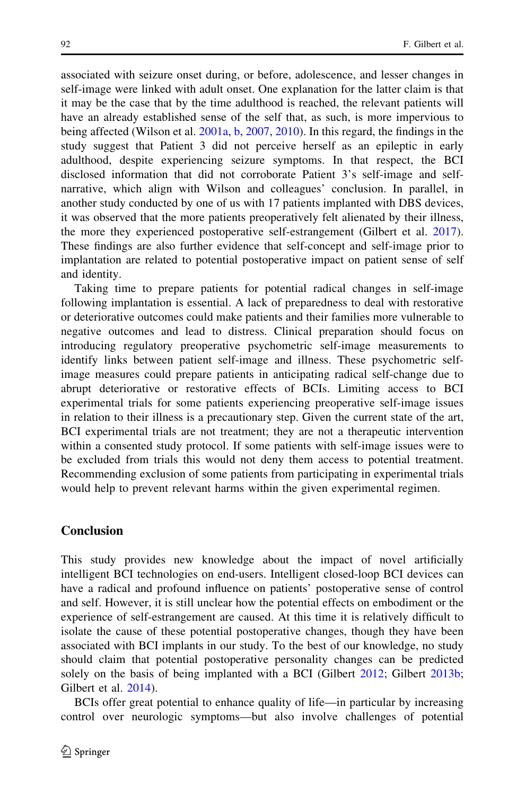associated with seizure onset during, or before, adolescence, and lesser changes in self-image were linked with adult onset. One explanation for the latter claim is that it may be the case that by the time adulthood is reached, the relevant patients will have an already established sense of the self that, as such, is more impervious to being affected (Wilson et al. [2001a](#page-13-0), [b](#page-13-0), [2007,](#page-13-0) [2010\)](#page-13-0). In this regard, the findings in the study suggest that Patient 3 did not perceive herself as an epileptic in early adulthood, despite experiencing seizure symptoms. In that respect, the BCI disclosed information that did not corroborate Patient 3's self-image and selfnarrative, which align with Wilson and colleagues' conclusion. In parallel, in another study conducted by one of us with 17 patients implanted with DBS devices, it was observed that the more patients preoperatively felt alienated by their illness, the more they experienced postoperative self-estrangement (Gilbert et al. [2017\)](#page-12-0). These findings are also further evidence that self-concept and self-image prior to implantation are related to potential postoperative impact on patient sense of self and identity.

Taking time to prepare patients for potential radical changes in self-image following implantation is essential. A lack of preparedness to deal with restorative or deteriorative outcomes could make patients and their families more vulnerable to negative outcomes and lead to distress. Clinical preparation should focus on introducing regulatory preoperative psychometric self-image measurements to identify links between patient self-image and illness. These psychometric selfimage measures could prepare patients in anticipating radical self-change due to abrupt deteriorative or restorative effects of BCIs. Limiting access to BCI experimental trials for some patients experiencing preoperative self-image issues in relation to their illness is a precautionary step. Given the current state of the art, BCI experimental trials are not treatment; they are not a therapeutic intervention within a consented study protocol. If some patients with self-image issues were to be excluded from trials this would not deny them access to potential treatment. Recommending exclusion of some patients from participating in experimental trials would help to prevent relevant harms within the given experimental regimen.

## Conclusion

This study provides new knowledge about the impact of novel artificially intelligent BCI technologies on end-users. Intelligent closed-loop BCI devices can have a radical and profound influence on patients' postoperative sense of control and self. However, it is still unclear how the potential effects on embodiment or the experience of self-estrangement are caused. At this time it is relatively difficult to isolate the cause of these potential postoperative changes, though they have been associated with BCI implants in our study. To the best of our knowledge, no study should claim that potential postoperative personality changes can be predicted solely on the basis of being implanted with a BCI (Gilbert [2012;](#page-12-0) Gilbert [2013b;](#page-12-0) Gilbert et al. [2014](#page-12-0)).

BCIs offer great potential to enhance quality of life—in particular by increasing control over neurologic symptoms—but also involve challenges of potential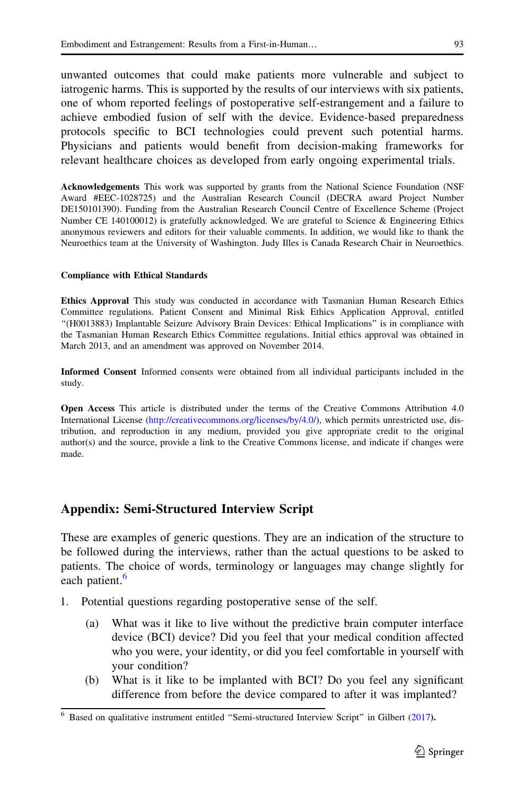<span id="page-10-0"></span>unwanted outcomes that could make patients more vulnerable and subject to iatrogenic harms. This is supported by the results of our interviews with six patients, one of whom reported feelings of postoperative self-estrangement and a failure to achieve embodied fusion of self with the device. Evidence-based preparedness protocols specific to BCI technologies could prevent such potential harms. Physicians and patients would benefit from decision-making frameworks for relevant healthcare choices as developed from early ongoing experimental trials.

Acknowledgements This work was supported by grants from the National Science Foundation (NSF Award #EEC-1028725) and the Australian Research Council (DECRA award Project Number DE150101390). Funding from the Australian Research Council Centre of Excellence Scheme (Project Number CE 140100012) is gratefully acknowledged. We are grateful to Science & Engineering Ethics anonymous reviewers and editors for their valuable comments. In addition, we would like to thank the Neuroethics team at the University of Washington. Judy Illes is Canada Research Chair in Neuroethics.

#### Compliance with Ethical Standards

Ethics Approval This study was conducted in accordance with Tasmanian Human Research Ethics Committee regulations. Patient Consent and Minimal Risk Ethics Application Approval, entitled ''(H0013883) Implantable Seizure Advisory Brain Devices: Ethical Implications'' is in compliance with the Tasmanian Human Research Ethics Committee regulations. Initial ethics approval was obtained in March 2013, and an amendment was approved on November 2014.

Informed Consent Informed consents were obtained from all individual participants included in the study.

Open Access This article is distributed under the terms of the Creative Commons Attribution 4.0 International License ([http://creativecommons.org/licenses/by/4.0/\)](http://creativecommons.org/licenses/by/4.0/), which permits unrestricted use, distribution, and reproduction in any medium, provided you give appropriate credit to the original author(s) and the source, provide a link to the Creative Commons license, and indicate if changes were made.

## Appendix: Semi-Structured Interview Script

These are examples of generic questions. They are an indication of the structure to be followed during the interviews, rather than the actual questions to be asked to patients. The choice of words, terminology or languages may change slightly for each patient.<sup>6</sup>

- 1. Potential questions regarding postoperative sense of the self.
	- (a) What was it like to live without the predictive brain computer interface device (BCI) device? Did you feel that your medical condition affected who you were, your identity, or did you feel comfortable in yourself with your condition?
	- (b) What is it like to be implanted with BCI? Do you feel any significant difference from before the device compared to after it was implanted?

Based on qualitative instrument entitled "Semi-structured Interview Script" in Gilbert ([2017](#page-12-0)).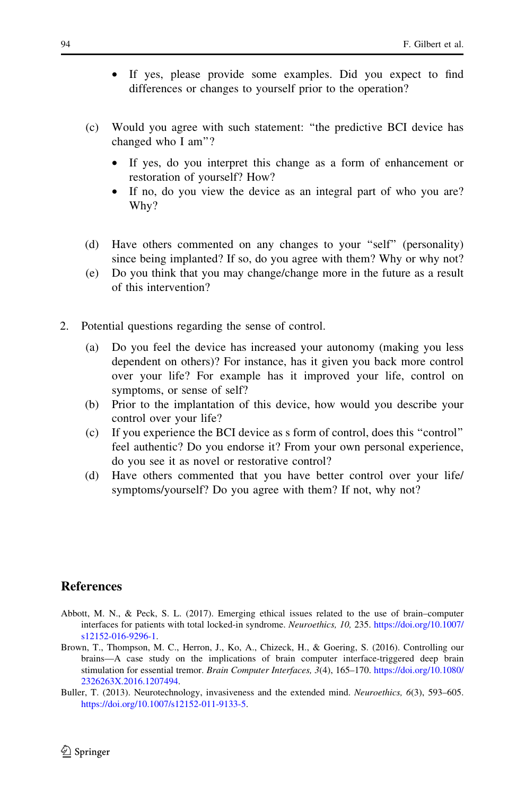- <span id="page-11-0"></span>• If yes, please provide some examples. Did you expect to find differences or changes to yourself prior to the operation?
- (c) Would you agree with such statement: ''the predictive BCI device has changed who I am''?
	- If yes, do you interpret this change as a form of enhancement or restoration of yourself? How?
	- If no, do you view the device as an integral part of who you are? Why?
- (d) Have others commented on any changes to your ''self'' (personality) since being implanted? If so, do you agree with them? Why or why not?
- (e) Do you think that you may change/change more in the future as a result of this intervention?
- 2. Potential questions regarding the sense of control.
	- (a) Do you feel the device has increased your autonomy (making you less dependent on others)? For instance, has it given you back more control over your life? For example has it improved your life, control on symptoms, or sense of self?
	- (b) Prior to the implantation of this device, how would you describe your control over your life?
	- (c) If you experience the BCI device as s form of control, does this ''control'' feel authentic? Do you endorse it? From your own personal experience, do you see it as novel or restorative control?
	- (d) Have others commented that you have better control over your life/ symptoms/yourself? Do you agree with them? If not, why not?

### **References**

- Abbott, M. N., & Peck, S. L. (2017). Emerging ethical issues related to the use of brain–computer interfaces for patients with total locked-in syndrome. Neuroethics, 10, 235. [https://doi.org/10.1007/](https://doi.org/10.1007/s12152-016-9296-1) [s12152-016-9296-1.](https://doi.org/10.1007/s12152-016-9296-1)
- Brown, T., Thompson, M. C., Herron, J., Ko, A., Chizeck, H., & Goering, S. (2016). Controlling our brains—A case study on the implications of brain computer interface-triggered deep brain stimulation for essential tremor. Brain Computer Interfaces, 3(4), 165–170. [https://doi.org/10.1080/](https://doi.org/10.1080/2326263X.2016.1207494) [2326263X.2016.1207494](https://doi.org/10.1080/2326263X.2016.1207494).
- Buller, T. (2013). Neurotechnology, invasiveness and the extended mind. Neuroethics, 6(3), 593–605. [https://doi.org/10.1007/s12152-011-9133-5.](https://doi.org/10.1007/s12152-011-9133-5)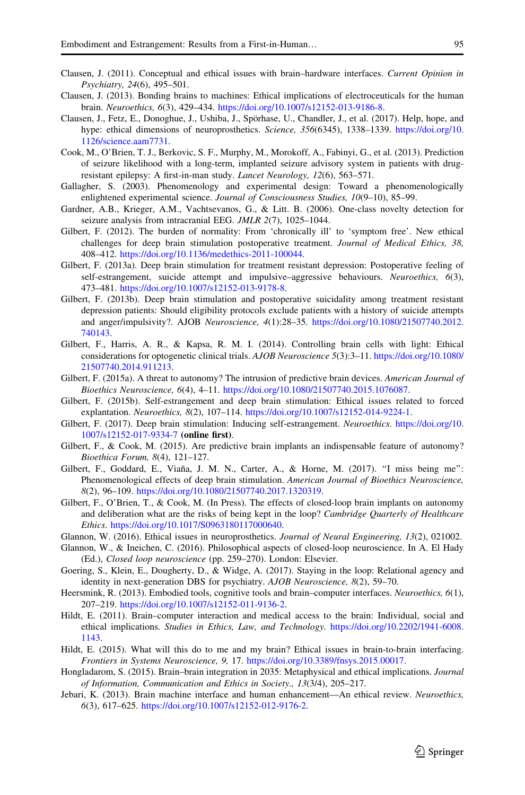- <span id="page-12-0"></span>Clausen, J. (2011). Conceptual and ethical issues with brain–hardware interfaces. Current Opinion in Psychiatry, 24(6), 495–501.
- Clausen, J. (2013). Bonding brains to machines: Ethical implications of electroceuticals for the human brain. Neuroethics, 6(3), 429–434. <https://doi.org/10.1007/s12152-013-9186-8>.
- Clausen, J., Fetz, E., Donoghue, J., Ushiba, J., Spörhase, U., Chandler, J., et al. (2017). Help, hope, and hype: ethical dimensions of neuroprosthetics. Science, 356(6345), 1338–1339. [https://doi.org/10.](https://doi.org/10.1126/science.aam7731) [1126/science.aam7731.](https://doi.org/10.1126/science.aam7731)
- Cook, M., O'Brien, T. J., Berkovic, S. F., Murphy, M., Morokoff, A., Fabinyi, G., et al. (2013). Prediction of seizure likelihood with a long-term, implanted seizure advisory system in patients with drugresistant epilepsy: A first-in-man study. Lancet Neurology, 12(6), 563–571.
- Gallagher, S. (2003). Phenomenology and experimental design: Toward a phenomenologically enlightened experimental science. Journal of Consciousness Studies, 10(9–10), 85–99.
- Gardner, A.B., Krieger, A.M., Vachtsevanos, G., & Litt. B. (2006). One-class novelty detection for seizure analysis from intracranial EEG. JMLR 2(7), 1025–1044.
- Gilbert, F. (2012). The burden of normality: From 'chronically ill' to 'symptom free'. New ethical challenges for deep brain stimulation postoperative treatment. Journal of Medical Ethics, 38, 408–412. <https://doi.org/10.1136/medethics-2011-100044>.
- Gilbert, F. (2013a). Deep brain stimulation for treatment resistant depression: Postoperative feeling of self-estrangement, suicide attempt and impulsive–aggressive behaviours. Neuroethics, 6(3), 473–481. <https://doi.org/10.1007/s12152-013-9178-8>.
- Gilbert, F. (2013b). Deep brain stimulation and postoperative suicidality among treatment resistant depression patients: Should eligibility protocols exclude patients with a history of suicide attempts and anger/impulsivity?. AJOB Neuroscience, 4(1):28–35. [https://doi.org/10.1080/21507740.2012.](https://doi.org/10.1080/21507740.2012.740143) [740143.](https://doi.org/10.1080/21507740.2012.740143)
- Gilbert, F., Harris, A. R., & Kapsa, R. M. I. (2014). Controlling brain cells with light: Ethical considerations for optogenetic clinical trials. AJOB Neuroscience 5(3):3–11. [https://doi.org/10.1080/](https://doi.org/10.1080/21507740.2014.911213) [21507740.2014.911213.](https://doi.org/10.1080/21507740.2014.911213)
- Gilbert, F. (2015a). A threat to autonomy? The intrusion of predictive brain devices. American Journal of Bioethics Neuroscience, 6(4), 4–11. [https://doi.org/10.1080/21507740.2015.1076087.](https://doi.org/10.1080/21507740.2015.1076087)
- Gilbert, F. (2015b). Self-estrangement and deep brain stimulation: Ethical issues related to forced explantation. Neuroethics, 8(2), 107–114. [https://doi.org/10.1007/s12152-014-9224-1.](https://doi.org/10.1007/s12152-014-9224-1)
- Gilbert, F. (2017). Deep brain stimulation: Inducing self-estrangement. Neuroethics. [https://doi.org/10.](https://doi.org/10.1007/s12152-017-9334-7) [1007/s12152-017-9334-7](https://doi.org/10.1007/s12152-017-9334-7) (online first).
- Gilbert, F., & Cook, M. (2015). Are predictive brain implants an indispensable feature of autonomy? Bioethica Forum, 8(4), 121–127.
- Gilbert, F., Goddard, E., Viaña, J. M. N., Carter, A., & Horne, M. (2017). "I miss being me": Phenomenological effects of deep brain stimulation. American Journal of Bioethics Neuroscience, 8(2), 96–109. <https://doi.org/10.1080/21507740.2017.1320319>.
- Gilbert, F., O'Brien, T., & Cook, M. (In Press). The effects of closed-loop brain implants on autonomy and deliberation what are the risks of being kept in the loop? Cambridge Quarterly of Healthcare Ethics. [https://doi.org/10.1017/S0963180117000640.](https://doi.org/10.1017/S0963180117000640)
- Glannon, W. (2016). Ethical issues in neuroprosthetics. Journal of Neural Engineering, 13(2), 021002.
- Glannon, W., & Ineichen, C. (2016). Philosophical aspects of closed-loop neuroscience. In A. El Hady (Ed.), Closed loop neuroscience (pp. 259–270). London: Elsevier.
- Goering, S., Klein, E., Dougherty, D., & Widge, A. (2017). Staying in the loop: Relational agency and identity in next-generation DBS for psychiatry. AJOB Neuroscience, 8(2), 59–70.
- Heersmink, R. (2013). Embodied tools, cognitive tools and brain–computer interfaces. Neuroethics, 6(1), 207–219. <https://doi.org/10.1007/s12152-011-9136-2>.
- Hildt, E. (2011). Brain–computer interaction and medical access to the brain: Individual, social and ethical implications. Studies in Ethics, Law, and Technology. [https://doi.org/10.2202/1941-6008.](https://doi.org/10.2202/1941-6008.1143) [1143.](https://doi.org/10.2202/1941-6008.1143)
- Hildt, E. (2015). What will this do to me and my brain? Ethical issues in brain-to-brain interfacing. Frontiers in Systems Neuroscience, 9, 17. <https://doi.org/10.3389/fnsys.2015.00017>.
- Hongladarom, S. (2015). Brain–brain integration in 2035: Metaphysical and ethical implications. Journal of Information, Communication and Ethics in Society., 13(3/4), 205–217.
- Jebari, K. (2013). Brain machine interface and human enhancement—An ethical review. Neuroethics, 6(3), 617–625. <https://doi.org/10.1007/s12152-012-9176-2>.